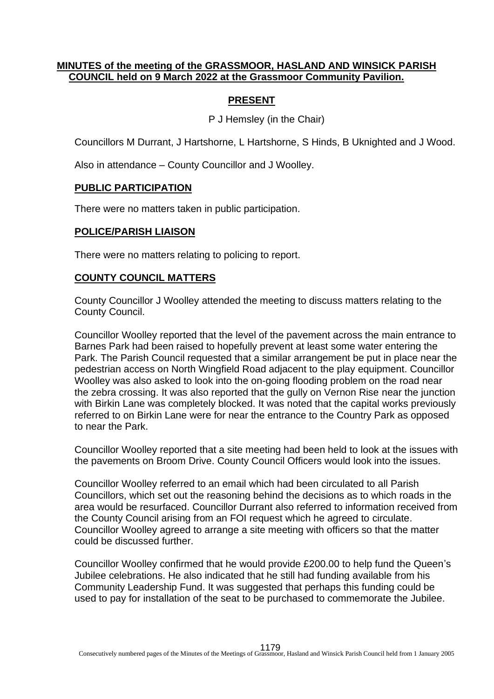### **MINUTES of the meeting of the GRASSMOOR, HASLAND AND WINSICK PARISH COUNCIL held on 9 March 2022 at the Grassmoor Community Pavilion.**

## **PRESENT**

P J Hemsley (in the Chair)

Councillors M Durrant, J Hartshorne, L Hartshorne, S Hinds, B Uknighted and J Wood.

Also in attendance – County Councillor and J Woolley.

### **PUBLIC PARTICIPATION**

There were no matters taken in public participation.

#### **POLICE/PARISH LIAISON**

There were no matters relating to policing to report.

#### **COUNTY COUNCIL MATTERS**

County Councillor J Woolley attended the meeting to discuss matters relating to the County Council.

Councillor Woolley reported that the level of the pavement across the main entrance to Barnes Park had been raised to hopefully prevent at least some water entering the Park. The Parish Council requested that a similar arrangement be put in place near the pedestrian access on North Wingfield Road adjacent to the play equipment. Councillor Woolley was also asked to look into the on-going flooding problem on the road near the zebra crossing. It was also reported that the gully on Vernon Rise near the junction with Birkin Lane was completely blocked. It was noted that the capital works previously referred to on Birkin Lane were for near the entrance to the Country Park as opposed to near the Park.

Councillor Woolley reported that a site meeting had been held to look at the issues with the pavements on Broom Drive. County Council Officers would look into the issues.

Councillor Woolley referred to an email which had been circulated to all Parish Councillors, which set out the reasoning behind the decisions as to which roads in the area would be resurfaced. Councillor Durrant also referred to information received from the County Council arising from an FOI request which he agreed to circulate. Councillor Woolley agreed to arrange a site meeting with officers so that the matter could be discussed further.

Councillor Woolley confirmed that he would provide £200.00 to help fund the Queen's Jubilee celebrations. He also indicated that he still had funding available from his Community Leadership Fund. It was suggested that perhaps this funding could be used to pay for installation of the seat to be purchased to commemorate the Jubilee.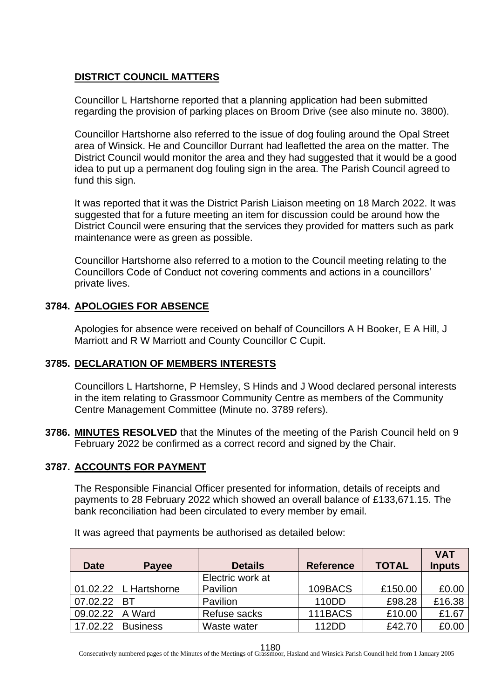## **DISTRICT COUNCIL MATTERS**

Councillor L Hartshorne reported that a planning application had been submitted regarding the provision of parking places on Broom Drive (see also minute no. 3800).

Councillor Hartshorne also referred to the issue of dog fouling around the Opal Street area of Winsick. He and Councillor Durrant had leafletted the area on the matter. The District Council would monitor the area and they had suggested that it would be a good idea to put up a permanent dog fouling sign in the area. The Parish Council agreed to fund this sign.

It was reported that it was the District Parish Liaison meeting on 18 March 2022. It was suggested that for a future meeting an item for discussion could be around how the District Council were ensuring that the services they provided for matters such as park maintenance were as green as possible.

Councillor Hartshorne also referred to a motion to the Council meeting relating to the Councillors Code of Conduct not covering comments and actions in a councillors' private lives.

## **3784. APOLOGIES FOR ABSENCE**

Apologies for absence were received on behalf of Councillors A H Booker, E A Hill, J Marriott and R W Marriott and County Councillor C Cupit.

## **3785. DECLARATION OF MEMBERS INTERESTS**

Councillors L Hartshorne, P Hemsley, S Hinds and J Wood declared personal interests in the item relating to Grassmoor Community Centre as members of the Community Centre Management Committee (Minute no. 3789 refers).

**3786. MINUTES RESOLVED** that the Minutes of the meeting of the Parish Council held on 9 February 2022 be confirmed as a correct record and signed by the Chair.

# **3787. ACCOUNTS FOR PAYMENT**

The Responsible Financial Officer presented for information, details of receipts and payments to 28 February 2022 which showed an overall balance of £133,671.15. The bank reconciliation had been circulated to every member by email.

It was agreed that payments be authorised as detailed below:

|             |                           |                  |                  |              | <b>VAT</b>    |
|-------------|---------------------------|------------------|------------------|--------------|---------------|
| <b>Date</b> | Payee                     | <b>Details</b>   | <b>Reference</b> | <b>TOTAL</b> | <b>Inputs</b> |
|             |                           | Electric work at |                  |              |               |
|             | $01.02.22$   L Hartshorne | Pavilion         | 109BACS          | £150.00      | £0.00         |
| 07.02.22    | ВT                        | Pavilion         | 110DD            | £98.28       | £16.38        |
| 09.02.22    | A Ward                    | Refuse sacks     | 111BACS          | £10.00       | £1.67         |
| 17.02.22    | <b>Business</b>           | Waste water      | 112DD            | £42.70       | £0.00         |

Consecutively numbered pages of the Minutes of the Meetings of Grassmoor, Hasland and Winsick Parish Council held from 1 January 2005 1180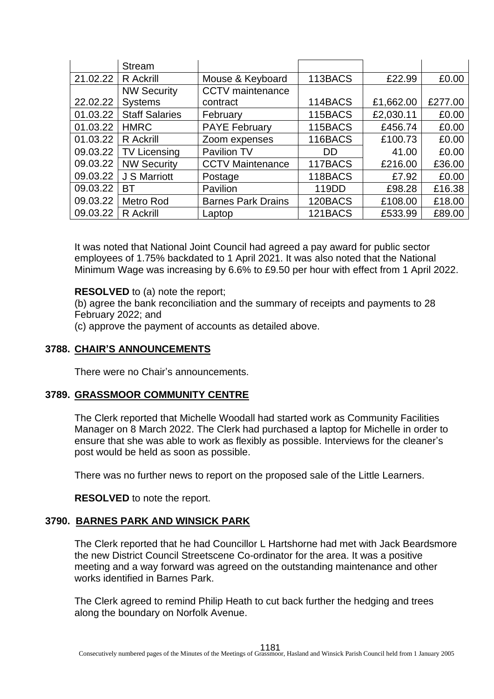|          | <b>Stream</b>         |                           |         |           |         |
|----------|-----------------------|---------------------------|---------|-----------|---------|
| 21.02.22 | R Ackrill             | Mouse & Keyboard          | 113BACS | £22.99    | £0.00   |
|          | <b>NW Security</b>    | <b>CCTV</b> maintenance   |         |           |         |
| 22.02.22 | <b>Systems</b>        | contract                  | 114BACS | £1,662.00 | £277.00 |
| 01.03.22 | <b>Staff Salaries</b> | February                  | 115BACS | £2,030.11 | £0.00   |
| 01.03.22 | <b>HMRC</b>           | <b>PAYE February</b>      | 115BACS | £456.74   | £0.00   |
| 01.03.22 | R Ackrill             | Zoom expenses             | 116BACS | £100.73   | £0.00   |
| 09.03.22 | <b>TV Licensing</b>   | Pavilion TV               | DD      | 41.00     | £0.00   |
| 09.03.22 | <b>NW Security</b>    | <b>CCTV Maintenance</b>   | 117BACS | £216.00   | £36.00  |
| 09.03.22 | J S Marriott          | Postage                   | 118BACS | £7.92     | £0.00   |
| 09.03.22 | BT                    | Pavilion                  | 119DD   | £98.28    | £16.38  |
| 09.03.22 | <b>Metro Rod</b>      | <b>Barnes Park Drains</b> | 120BACS | £108.00   | £18.00  |
| 09.03.22 | <b>R</b> Ackrill      | Laptop                    | 121BACS | £533.99   | £89.00  |

It was noted that National Joint Council had agreed a pay award for public sector employees of 1.75% backdated to 1 April 2021. It was also noted that the National Minimum Wage was increasing by 6.6% to £9.50 per hour with effect from 1 April 2022.

**RESOLVED** to (a) note the report;

(b) agree the bank reconciliation and the summary of receipts and payments to 28 February 2022; and

(c) approve the payment of accounts as detailed above.

### **3788. CHAIR'S ANNOUNCEMENTS**

There were no Chair's announcements.

### **3789. GRASSMOOR COMMUNITY CENTRE**

The Clerk reported that Michelle Woodall had started work as Community Facilities Manager on 8 March 2022. The Clerk had purchased a laptop for Michelle in order to ensure that she was able to work as flexibly as possible. Interviews for the cleaner's post would be held as soon as possible.

There was no further news to report on the proposed sale of the Little Learners.

**RESOLVED** to note the report.

#### **3790. BARNES PARK AND WINSICK PARK**

The Clerk reported that he had Councillor L Hartshorne had met with Jack Beardsmore the new District Council Streetscene Co-ordinator for the area. It was a positive meeting and a way forward was agreed on the outstanding maintenance and other works identified in Barnes Park.

The Clerk agreed to remind Philip Heath to cut back further the hedging and trees along the boundary on Norfolk Avenue.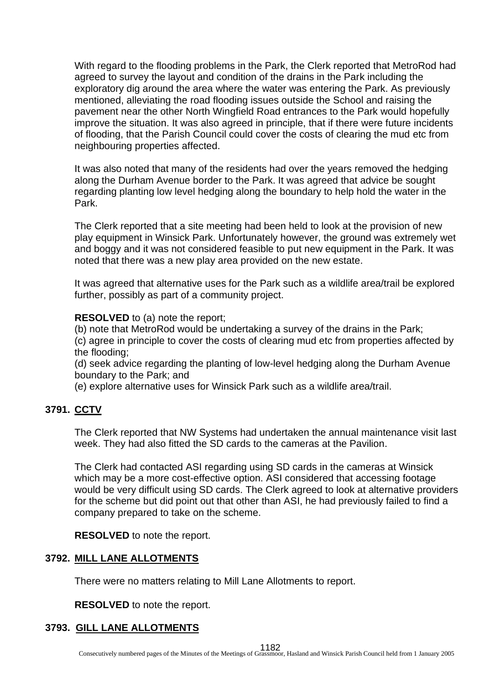With regard to the flooding problems in the Park, the Clerk reported that MetroRod had agreed to survey the layout and condition of the drains in the Park including the exploratory dig around the area where the water was entering the Park. As previously mentioned, alleviating the road flooding issues outside the School and raising the pavement near the other North Wingfield Road entrances to the Park would hopefully improve the situation. It was also agreed in principle, that if there were future incidents of flooding, that the Parish Council could cover the costs of clearing the mud etc from neighbouring properties affected.

It was also noted that many of the residents had over the years removed the hedging along the Durham Avenue border to the Park. It was agreed that advice be sought regarding planting low level hedging along the boundary to help hold the water in the Park.

The Clerk reported that a site meeting had been held to look at the provision of new play equipment in Winsick Park. Unfortunately however, the ground was extremely wet and boggy and it was not considered feasible to put new equipment in the Park. It was noted that there was a new play area provided on the new estate.

It was agreed that alternative uses for the Park such as a wildlife area/trail be explored further, possibly as part of a community project.

**RESOLVED** to (a) note the report;

(b) note that MetroRod would be undertaking a survey of the drains in the Park;

(c) agree in principle to cover the costs of clearing mud etc from properties affected by the flooding;

(d) seek advice regarding the planting of low-level hedging along the Durham Avenue boundary to the Park; and

(e) explore alternative uses for Winsick Park such as a wildlife area/trail.

## **3791. CCTV**

The Clerk reported that NW Systems had undertaken the annual maintenance visit last week. They had also fitted the SD cards to the cameras at the Pavilion.

The Clerk had contacted ASI regarding using SD cards in the cameras at Winsick which may be a more cost-effective option. ASI considered that accessing footage would be very difficult using SD cards. The Clerk agreed to look at alternative providers for the scheme but did point out that other than ASI, he had previously failed to find a company prepared to take on the scheme.

**RESOLVED** to note the report.

#### **3792. MILL LANE ALLOTMENTS**

There were no matters relating to Mill Lane Allotments to report.

**RESOLVED** to note the report.

#### **3793. GILL LANE ALLOTMENTS**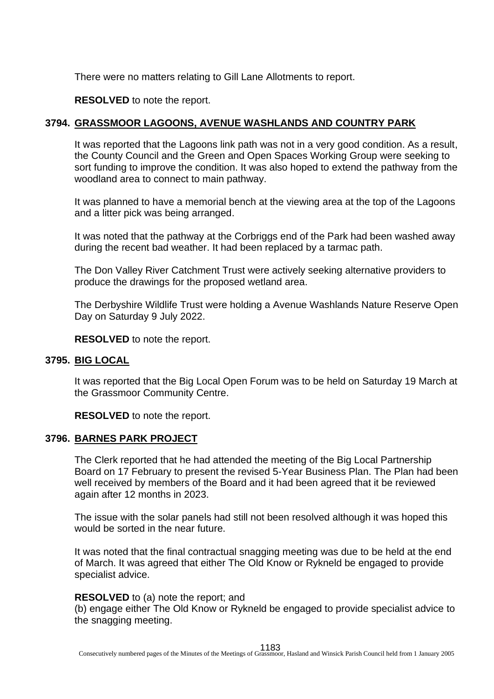There were no matters relating to Gill Lane Allotments to report.

**RESOLVED** to note the report.

#### **3794. GRASSMOOR LAGOONS, AVENUE WASHLANDS AND COUNTRY PARK**

It was reported that the Lagoons link path was not in a very good condition. As a result, the County Council and the Green and Open Spaces Working Group were seeking to sort funding to improve the condition. It was also hoped to extend the pathway from the woodland area to connect to main pathway.

It was planned to have a memorial bench at the viewing area at the top of the Lagoons and a litter pick was being arranged.

It was noted that the pathway at the Corbriggs end of the Park had been washed away during the recent bad weather. It had been replaced by a tarmac path.

The Don Valley River Catchment Trust were actively seeking alternative providers to produce the drawings for the proposed wetland area.

The Derbyshire Wildlife Trust were holding a Avenue Washlands Nature Reserve Open Day on Saturday 9 July 2022.

**RESOLVED** to note the report.

#### **3795. BIG LOCAL**

It was reported that the Big Local Open Forum was to be held on Saturday 19 March at the Grassmoor Community Centre.

**RESOLVED** to note the report.

#### **3796. BARNES PARK PROJECT**

The Clerk reported that he had attended the meeting of the Big Local Partnership Board on 17 February to present the revised 5-Year Business Plan. The Plan had been well received by members of the Board and it had been agreed that it be reviewed again after 12 months in 2023.

The issue with the solar panels had still not been resolved although it was hoped this would be sorted in the near future.

It was noted that the final contractual snagging meeting was due to be held at the end of March. It was agreed that either The Old Know or Rykneld be engaged to provide specialist advice.

#### **RESOLVED** to (a) note the report; and

(b) engage either The Old Know or Rykneld be engaged to provide specialist advice to the snagging meeting.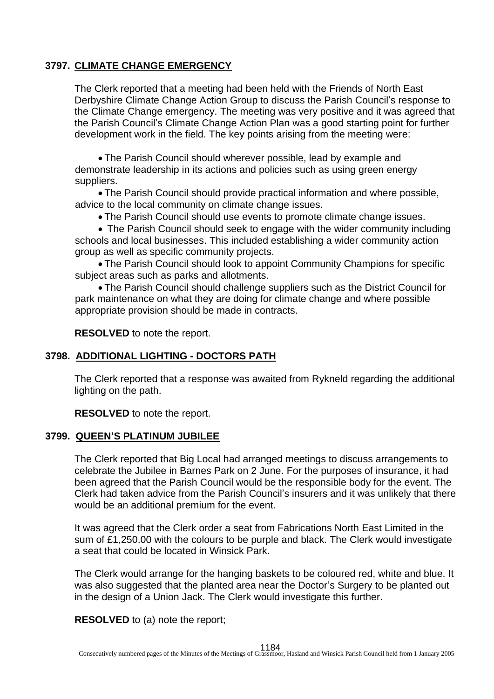### **3797. CLIMATE CHANGE EMERGENCY**

The Clerk reported that a meeting had been held with the Friends of North East Derbyshire Climate Change Action Group to discuss the Parish Council's response to the Climate Change emergency. The meeting was very positive and it was agreed that the Parish Council's Climate Change Action Plan was a good starting point for further development work in the field. The key points arising from the meeting were:

• The Parish Council should wherever possible, lead by example and demonstrate leadership in its actions and policies such as using green energy suppliers.

• The Parish Council should provide practical information and where possible, advice to the local community on climate change issues.

• The Parish Council should use events to promote climate change issues.

• The Parish Council should seek to engage with the wider community including schools and local businesses. This included establishing a wider community action group as well as specific community projects.

• The Parish Council should look to appoint Community Champions for specific subject areas such as parks and allotments.

• The Parish Council should challenge suppliers such as the District Council for park maintenance on what they are doing for climate change and where possible appropriate provision should be made in contracts.

**RESOLVED** to note the report.

#### **3798. ADDITIONAL LIGHTING - DOCTORS PATH**

The Clerk reported that a response was awaited from Rykneld regarding the additional lighting on the path.

**RESOLVED** to note the report.

#### **3799. QUEEN'S PLATINUM JUBILEE**

The Clerk reported that Big Local had arranged meetings to discuss arrangements to celebrate the Jubilee in Barnes Park on 2 June. For the purposes of insurance, it had been agreed that the Parish Council would be the responsible body for the event. The Clerk had taken advice from the Parish Council's insurers and it was unlikely that there would be an additional premium for the event.

It was agreed that the Clerk order a seat from Fabrications North East Limited in the sum of £1,250.00 with the colours to be purple and black. The Clerk would investigate a seat that could be located in Winsick Park.

The Clerk would arrange for the hanging baskets to be coloured red, white and blue. It was also suggested that the planted area near the Doctor's Surgery to be planted out in the design of a Union Jack. The Clerk would investigate this further.

**RESOLVED** to (a) note the report;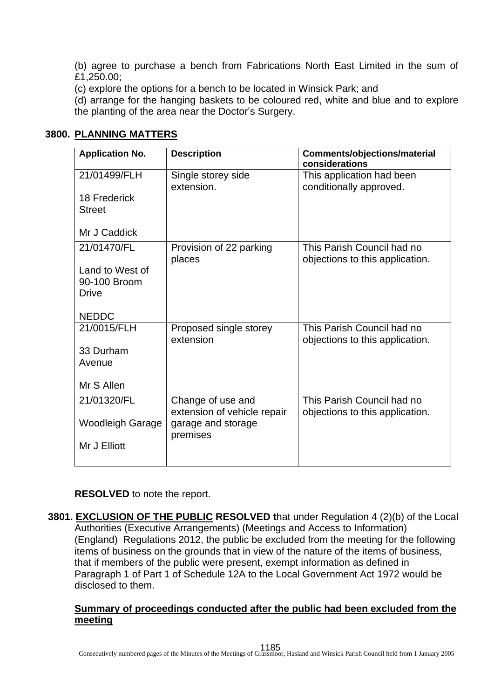(b) agree to purchase a bench from Fabrications North East Limited in the sum of £1,250.00;

(c) explore the options for a bench to be located in Winsick Park; and

(d) arrange for the hanging baskets to be coloured red, white and blue and to explore the planting of the area near the Doctor's Surgery.

## **3800. PLANNING MATTERS**

| <b>Application No.</b>                          | <b>Description</b>                               | <b>Comments/objections/material</b><br>considerations         |  |  |
|-------------------------------------------------|--------------------------------------------------|---------------------------------------------------------------|--|--|
| 21/01499/FLH                                    | Single storey side<br>extension.                 | This application had been<br>conditionally approved.          |  |  |
| 18 Frederick<br><b>Street</b>                   |                                                  |                                                               |  |  |
| Mr J Caddick                                    |                                                  |                                                               |  |  |
| 21/01470/FL                                     | Provision of 22 parking<br>places                | This Parish Council had no<br>objections to this application. |  |  |
| Land to West of<br>90-100 Broom<br><b>Drive</b> |                                                  |                                                               |  |  |
| <b>NEDDC</b>                                    |                                                  |                                                               |  |  |
| 21/0015/FLH                                     | Proposed single storey<br>extension              | This Parish Council had no<br>objections to this application. |  |  |
| 33 Durham                                       |                                                  |                                                               |  |  |
| Avenue                                          |                                                  |                                                               |  |  |
| Mr S Allen                                      |                                                  |                                                               |  |  |
| 21/01320/FL                                     | Change of use and<br>extension of vehicle repair | This Parish Council had no<br>objections to this application. |  |  |
| <b>Woodleigh Garage</b>                         | garage and storage<br>premises                   |                                                               |  |  |
| Mr J Elliott                                    |                                                  |                                                               |  |  |
|                                                 |                                                  |                                                               |  |  |

**RESOLVED** to note the report.

**3801. EXCLUSION OF THE PUBLIC RESOLVED t**hat under Regulation 4 (2)(b) of the Local Authorities (Executive Arrangements) (Meetings and Access to Information) (England) Regulations 2012, the public be excluded from the meeting for the following items of business on the grounds that in view of the nature of the items of business, that if members of the public were present, exempt information as defined in Paragraph 1 of Part 1 of Schedule 12A to the Local Government Act 1972 would be disclosed to them.

#### **Summary of proceedings conducted after the public had been excluded from the meeting**